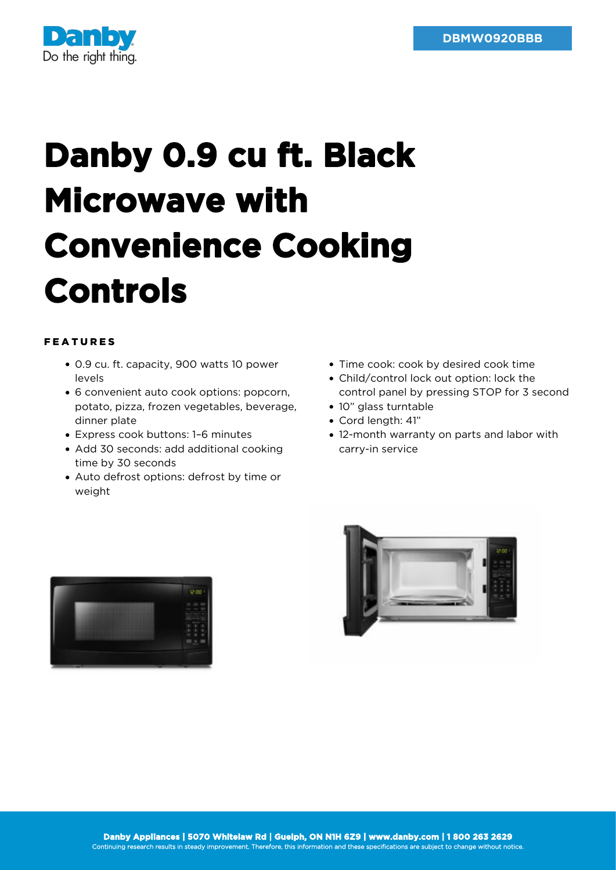

## **Danby 0.9 cu ft. Black Microwave with Convenience Cooking Controls**

## FEATURES

- 0.9 cu. ft. capacity, 900 watts 10 power levels
- 6 convenient auto cook options: popcorn, potato, pizza, frozen vegetables, beverage, dinner plate
- Express cook buttons: 1–6 minutes
- Add 30 seconds: add additional cooking time by 30 seconds
- Auto defrost options: defrost by time or weight
- Time cook: cook by desired cook time
- Child/control lock out option: lock the control panel by pressing STOP for 3 second
- 10" glass turntable
- Cord length: 41"
- 12-month warranty on parts and labor with carry-in service